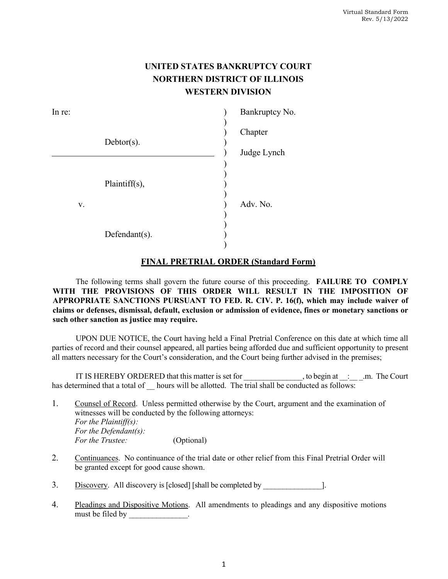## **UNITED STATES BANKRUPTCY COURT NORTHERN DISTRICT OF ILLINOIS WESTERN DIVISION**

| In re: |               |             | Bankruptcy No. |
|--------|---------------|-------------|----------------|
|        |               |             | Chapter        |
|        | $Debtor(s)$ . | Judge Lynch |                |
| V.     | Plaintiff(s), |             | Adv. No.       |
|        | Defendant(s). |             |                |

## **FINAL PRETRIAL ORDER (Standard Form)**

The following terms shall govern the future course of this proceeding. **FAILURE TO COMPLY WITH THE PROVISIONS OF THIS ORDER WILL RESULT IN THE IMPOSITION OF APPROPRIATE SANCTIONS PURSUANT TO FED. R. CIV. P. 16(f), which may include waiver of claims or defenses, dismissal, default, exclusion or admission of evidence, fines or monetary sanctions or such other sanction as justice may require.** 

UPON DUE NOTICE, the Court having held a Final Pretrial Conference on this date at which time all parties of record and their counsel appeared, all parties being afforded due and sufficient opportunity to present all matters necessary for the Court's consideration, and the Court being further advised in the premises;

IT IS HEREBY ORDERED that this matter is set for the set of the set of the set of the Court has determined that a total of hours will be allotted. The trial shall be conducted as follows:

1. Counsel of Record. Unless permitted otherwise by the Court, argument and the examination of witnesses will be conducted by the following attorneys: *For the Plaintiff(s): For the Defendant(s): For the Trustee:* (Optional)

- 2. Continuances.No continuance of the trial date or other relief from this Final Pretrial Order will be granted except for good cause shown.
- 3. <u>Discovery</u>. All discovery is [closed] [shall be completed by  $\qquad$ ].
- 4. Pleadings and Dispositive Motions.All amendments to pleadings and any dispositive motions must be filed by the set of  $\sim$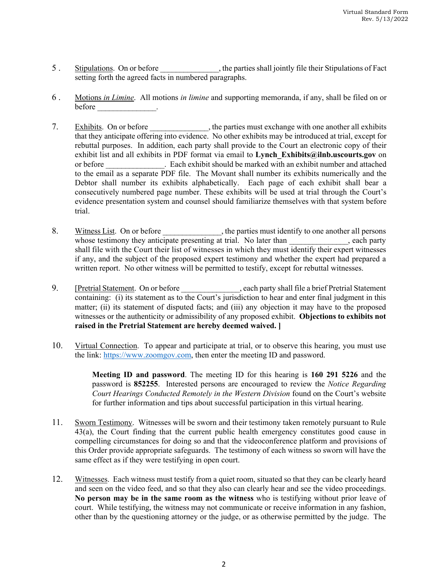- 5 . Stipulations.On or before \_\_\_\_\_\_\_\_\_\_\_\_\_\_\_, the parties shall jointly file their Stipulations of Fact setting forth the agreed facts in numbered paragraphs.
- 6 . Motions *in Limine*.All motions *in limine* and supporting memoranda, if any, shall be filed on or before **before**  $\cdot$
- 7. Exhibits. On or before \_\_\_\_\_\_\_\_\_\_\_, the parties must exchange with one another all exhibits that they anticipate offering into evidence. No other exhibits may be introduced at trial, except for rebuttal purposes. In addition, each party shall provide to the Court an electronic copy of their exhibit list and all exhibits in PDF format via email to **Lynch Exhibits@ilnb.uscourts.gov** on or before **all a conserverse in the set of the state** should be marked with an exhibit number and attached to the email as a separate PDF file. The Movant shall number its exhibits numerically and the Debtor shall number its exhibits alphabetically. Each page of each exhibit shall bear a consecutively numbered page number. These exhibits will be used at trial through the Court's evidence presentation system and counsel should familiarize themselves with that system before trial.
- 8. Witness List. On or before \_\_\_\_\_\_\_\_\_\_\_, the parties must identify to one another all persons whose testimony they anticipate presenting at trial. No later than , each party shall file with the Court their list of witnesses in which they must identify their expert witnesses if any, and the subject of the proposed expert testimony and whether the expert had prepared a written report. No other witness will be permitted to testify, except for rebuttal witnesses.
- 9. **[Pretrial Statement.** On or before \_\_\_\_\_\_\_\_\_\_\_\_\_, each party shall file a brief Pretrial Statement containing: (i) its statement as to the Court's jurisdiction to hear and enter final judgment in this matter; (ii) its statement of disputed facts; and (iii) any objection it may have to the proposed witnesses or the authenticity or admissibility of any proposed exhibit. **Objections to exhibits not raised in the Pretrial Statement are hereby deemed waived. ]**
- 10. Virtual Connection. To appear and participate at trial, or to observe this hearing, you must use the link: https://www.zoomgov.com, then enter the meeting ID and password.

**Meeting ID and password**. The meeting ID for this hearing is **160 291 5226** and the password is **852255**. Interested persons are encouraged to review the *Notice Regarding Court Hearings Conducted Remotely in the Western Division* found on the Court's website for further information and tips about successful participation in this virtual hearing.

- 11. Sworn Testimony. Witnesses will be sworn and their testimony taken remotely pursuant to Rule 43(a), the Court finding that the current public health emergency constitutes good cause in compelling circumstances for doing so and that the videoconference platform and provisions of this Order provide appropriate safeguards. The testimony of each witness so sworn will have the same effect as if they were testifying in open court.
- 12. Witnesses. Each witness must testify from a quiet room, situated so that they can be clearly heard and seen on the video feed, and so that they also can clearly hear and see the video proceedings. **No person may be in the same room as the witness** who is testifying without prior leave of court. While testifying, the witness may not communicate or receive information in any fashion, other than by the questioning attorney or the judge, or as otherwise permitted by the judge. The